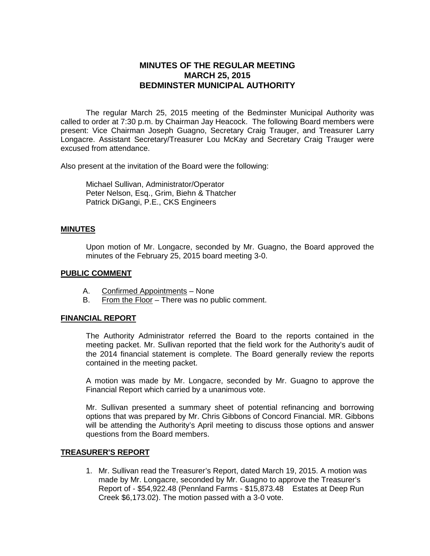# **MINUTES OF THE REGULAR MEETING MARCH 25, 2015 BEDMINSTER MUNICIPAL AUTHORITY**

The regular March 25, 2015 meeting of the Bedminster Municipal Authority was called to order at 7:30 p.m. by Chairman Jay Heacock. The following Board members were present: Vice Chairman Joseph Guagno, Secretary Craig Trauger, and Treasurer Larry Longacre. Assistant Secretary/Treasurer Lou McKay and Secretary Craig Trauger were excused from attendance.

Also present at the invitation of the Board were the following:

Michael Sullivan, Administrator/Operator Peter Nelson, Esq., Grim, Biehn & Thatcher Patrick DiGangi, P.E., CKS Engineers

### **MINUTES**

Upon motion of Mr. Longacre, seconded by Mr. Guagno, the Board approved the minutes of the February 25, 2015 board meeting 3-0.

### **PUBLIC COMMENT**

- A. Confirmed Appointments None
- B. From the Floor There was no public comment.

### **FINANCIAL REPORT**

The Authority Administrator referred the Board to the reports contained in the meeting packet. Mr. Sullivan reported that the field work for the Authority's audit of the 2014 financial statement is complete. The Board generally review the reports contained in the meeting packet.

A motion was made by Mr. Longacre, seconded by Mr. Guagno to approve the Financial Report which carried by a unanimous vote.

Mr. Sullivan presented a summary sheet of potential refinancing and borrowing options that was prepared by Mr. Chris Gibbons of Concord Financial. MR. Gibbons will be attending the Authority's April meeting to discuss those options and answer questions from the Board members.

#### **TREASURER'S REPORT**

1. Mr. Sullivan read the Treasurer's Report, dated March 19, 2015. A motion was made by Mr. Longacre, seconded by Mr. Guagno to approve the Treasurer's Report of - \$54,922.48 (Pennland Farms - \$15,873.48 Estates at Deep Run Creek \$6,173.02). The motion passed with a 3-0 vote.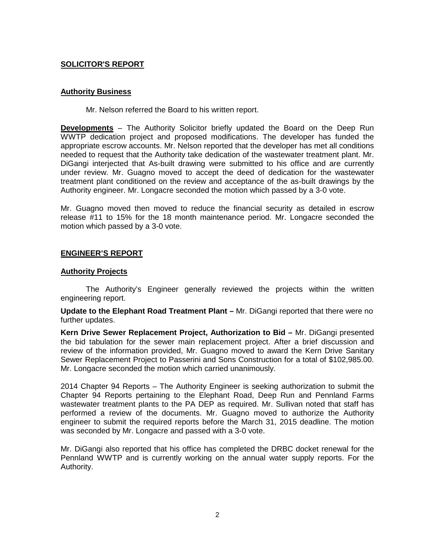### **SOLICITOR'S REPORT**

### **Authority Business**

Mr. Nelson referred the Board to his written report.

**Developments** – The Authority Solicitor briefly updated the Board on the Deep Run WWTP dedication project and proposed modifications. The developer has funded the appropriate escrow accounts. Mr. Nelson reported that the developer has met all conditions needed to request that the Authority take dedication of the wastewater treatment plant. Mr. DiGangi interjected that As-built drawing were submitted to his office and are currently under review. Mr. Guagno moved to accept the deed of dedication for the wastewater treatment plant conditioned on the review and acceptance of the as-built drawings by the Authority engineer. Mr. Longacre seconded the motion which passed by a 3-0 vote.

Mr. Guagno moved then moved to reduce the financial security as detailed in escrow release #11 to 15% for the 18 month maintenance period. Mr. Longacre seconded the motion which passed by a 3-0 vote.

### **ENGINEER'S REPORT**

### **Authority Projects**

The Authority's Engineer generally reviewed the projects within the written engineering report.

**Update to the Elephant Road Treatment Plant –** Mr. DiGangi reported that there were no further updates.

**Kern Drive Sewer Replacement Project, Authorization to Bid –** Mr. DiGangi presented the bid tabulation for the sewer main replacement project. After a brief discussion and review of the information provided, Mr. Guagno moved to award the Kern Drive Sanitary Sewer Replacement Project to Passerini and Sons Construction for a total of \$102,985.00. Mr. Longacre seconded the motion which carried unanimously.

2014 Chapter 94 Reports – The Authority Engineer is seeking authorization to submit the Chapter 94 Reports pertaining to the Elephant Road, Deep Run and Pennland Farms wastewater treatment plants to the PA DEP as required. Mr. Sullivan noted that staff has performed a review of the documents. Mr. Guagno moved to authorize the Authority engineer to submit the required reports before the March 31, 2015 deadline. The motion was seconded by Mr. Longacre and passed with a 3-0 vote.

Mr. DiGangi also reported that his office has completed the DRBC docket renewal for the Pennland WWTP and is currently working on the annual water supply reports. For the Authority.